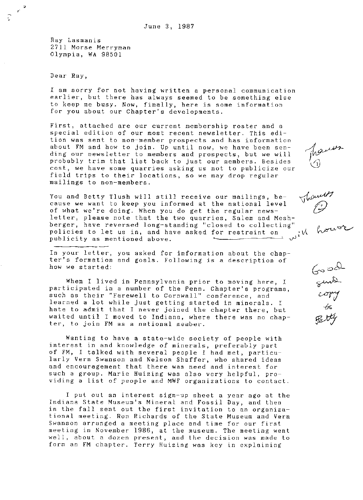Ray Lasmanis 2711 Morse Merryman Olympia, WA 98501

Dear Ray,

 $r^2$ 

I am sorry for not having written a personal communication earlier, but there has always seemed to be something else to keep me busy. Now, finally, here is some information for you about our Chapter's developments.

First, attached are our current membership roster and a special edition of our most recent newsletter. This edition was sent to non-member prospects and has information about FM and how to join. Up until now, we have been sending our newsletter to members and prospects, but we will probably trim that list back to just our members. Besides cost, we have some quarries asking us not to publicize our field trips to their locations, so we may drop regular mailings to non-members.

You and Betty Tlush will still receive our mailings, because we want to keep you informed at the national level of what we're doing. When you do get the regular newsletter, please note that the two quarries, Salem and Meshberger, have reversed long-standing "closed to collecting" policies to let us in, and have asked for restraint on  $\psi$  is the publicity as mentioned above.

In your letter, you asked for information about the chapter's formation and goals. Following is a description of how we started:

When I lived in Pennsylvania prior to moving here, I participated in a number of the Penn. Chapter's programs, such as their "Farewell to Cornwall" conference, and learned a lot while just getting started in minerals. I hate to admit that I never joined the chapter there, but waited until I moved to Indiana, where there was no chapter, to join FM as a national member.

Wanting to have a state-wide society of people with interest in and knowledge of minerals, preferably part of FM, I talked with several people I had met, particularly Vern Swanson and Nelson Shaffer, who shared ideas and encouragement that there was need and interest for such a group. Marie Huizing was also very helpful, providing a list of people and MWF organizations to contact.

I put out an interest sign-up sheet a year ago at the Indiana State Museum's Mineral and Fossil Day, and then in the fall sent out the first invitation to an organizational meeting. Ron Richards of the State Museum and Vern Swanson arranged a meeting place and time for our first meeting in November 1986, at the museum. The meeting went well, about a dozen present, and the decision was made to form an FM chapter. Terry Huizing was key in explaining

hauss



 $G$ ာ $\sim$ Suno.  $\omega$ m ifa  $\mathscr{F}$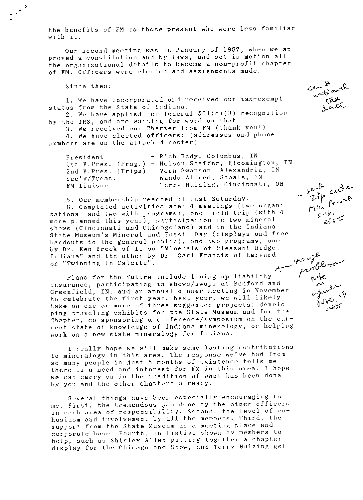the benefits of FM to those present who were less familiar with it.

Our second meeting was in January of 1987, when we approved a constitution and by-laws, and set in motion all the organizational details to become a non-profit chapter of FM. Officers were elected'and assignments made.

Since then:

1. We have incorporated and received our. tax-exempt status from the State of Indiana.

2. We have applied for federal  $501(c)(3)$  recognition by the IRS, and are waiting for word on that.

3. We received our Charter from FM (thank you!) 4. We have elected officers: (addresses and phone numbers are on the attached roster)

| President    | - Rich Eddy, Columbus, IN                              |
|--------------|--------------------------------------------------------|
|              | 1st V. Pres. (Prog.) - Nelson Shaffer, Bloomington, IN |
|              | 2nd V. Pres. (Trips) - Vern Swanson, Alexandria, IN    |
| Sec'v/Treas. | - Wanda Aldred, Shoals, IN                             |
| FM Liaison   | - Terry Huizing, Cincinnati, OH                        |

5. Our membership reached 31 last Saturday. 6. Completed activities are: 4 meetings (two organi~ zational and two with programs), one field trip (with 4 more planned this year), participation in two mineral shows (Cincinnati and Chicagoland) and in the Indiana State Museum's Mineral and Fossil Day (displays and free handouts to the general public), and two programs, one by Dr. Ken Brock of IU on "Minerals of Pleasant Ridge, Indiana" and the other by Dr. Carl Francis of Harvard on "Twinning in Calcite"

Plans for the future include lining up liability insurance, participating in shows/swaps at Bedford and Greenfield, IN, and an annual dinner meeting in November to celebrate the first year. Next year, we will likely take on one or more of three suggested projects: developing traveling exhibits for the State Museum and for the Chapter, co-sponsoring a conference/symposium on the current state of knowledge of Indiana mineralogy, or helping work on a new state mineralogy for Indiana.

I really hope we will make some lasting contributions to mineralogy in this area. The response we've had from so many people in just 5 months of existence tells me there is a need and interest for FM in this area. I hope we can carry on in the tradition of what has been done by you and the other chapters already.

Several things have been especially encouraging to me. First, the tremendous job done by the other officers in each area of responsibility. Second, the level of enhusiasm and involvement by all the members. Third, the support from the State Museum as a meeting place and corporate base. Fourth, initiative shown by members to help, such as Shirley Allen putting together a chapter display for the Chicagoland Show, and Terry Huizing get-

 $4$  and  $\mu$  $e^{\int$